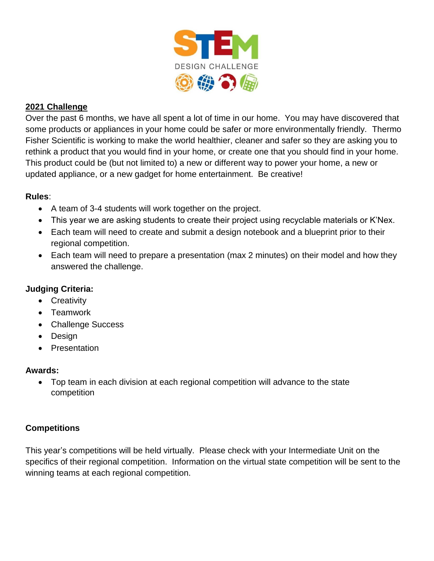

# **2021 Challenge**

Over the past 6 months, we have all spent a lot of time in our home. You may have discovered that some products or appliances in your home could be safer or more environmentally friendly. Thermo Fisher Scientific is working to make the world healthier, cleaner and safer so they are asking you to rethink a product that you would find in your home, or create one that you should find in your home. This product could be (but not limited to) a new or different way to power your home, a new or updated appliance, or a new gadget for home entertainment. Be creative!

### **Rules**:

- A team of 3-4 students will work together on the project.
- This year we are asking students to create their project using recyclable materials or K'Nex.
- Each team will need to create and submit a design notebook and a blueprint prior to their regional competition.
- Each team will need to prepare a presentation (max 2 minutes) on their model and how they answered the challenge.

# **Judging Criteria:**

- Creativity
- Teamwork
- Challenge Success
- Design
- Presentation

### **Awards:**

 Top team in each division at each regional competition will advance to the state competition

# **Competitions**

This year's competitions will be held virtually. Please check with your Intermediate Unit on the specifics of their regional competition. Information on the virtual state competition will be sent to the winning teams at each regional competition.